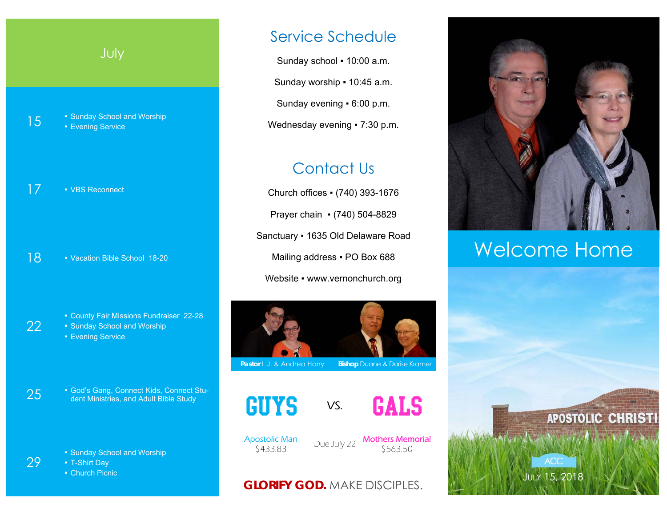## July

**15** • Sunday School and Worship **Evening Service** 

17 • VBS Reconnect

18 • Vacation Bible School 18-20

- County Fair Missions Fundraiser 22-28
- Sunday School and Worship
- **Evening Service**

22

29

25 • God's Gang, Connect Kids, Connect Stu-<br>
dent Ministries, and Adult Bible Study

■ Sunday School and Worship

▪ T-Shirt Day

■ Church Picnic

## Service Schedule

Sunday school . 10:00 a.m. Sunday worship • 10:45 a.m. Sunday evening ▪ 6:00 p.m. Wednesday evening • 7:30 p.m.

## Contact Us

Church offices ▪ (740) 393-1676 Prayer chain ▪ (740) 504-8829 Sanctuary ▪ 1635 Old Delaware Road Mailing address . PO Box 688 Website • www.vernonchurch.org



**Pastor L.J. & Andrea Harry Bishop Duane & Dorise Kramer** 





Apostolic Man

\$433.83 Due July 22 Mothers Memorial \$563.50

### **GLORIFY GOD.** MAKE DISCIPLES.



# Welcome Home